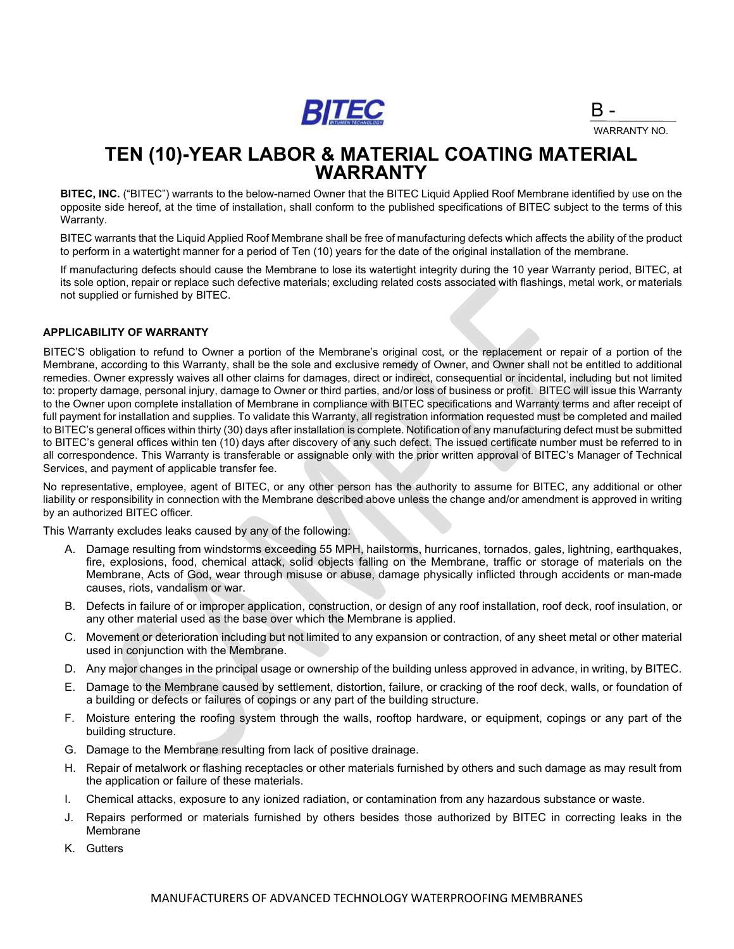

B - WARRANTY NO.

## **TEN (10)-YEAR LABOR & MATERIAL COATING MATERIAL WARRANTY**

**BITEC, INC.** ("BITEC") warrants to the below-named Owner that the BITEC Liquid Applied Roof Membrane identified by use on the opposite side hereof, at the time of installation, shall conform to the published specifications of BITEC subject to the terms of this Warranty.

BITEC warrants that the Liquid Applied Roof Membrane shall be free of manufacturing defects which affects the ability of the product to perform in a watertight manner for a period of Ten (10) years for the date of the original installation of the membrane.

If manufacturing defects should cause the Membrane to lose its watertight integrity during the 10 year Warranty period, BITEC, at its sole option, repair or replace such defective materials; excluding related costs associated with flashings, metal work, or materials not supplied or furnished by BITEC.

### **APPLICABILITY OF WARRANTY**

BITEC'S obligation to refund to Owner a portion of the Membrane's original cost, or the replacement or repair of a portion of the Membrane, according to this Warranty, shall be the sole and exclusive remedy of Owner, and Owner shall not be entitled to additional remedies. Owner expressly waives all other claims for damages, direct or indirect, consequential or incidental, including but not limited to: property damage, personal injury, damage to Owner or third parties, and/or loss of business or profit. BITEC will issue this Warranty to the Owner upon complete installation of Membrane in compliance with BITEC specifications and Warranty terms and after receipt of full payment for installation and supplies. To validate this Warranty, all registration information requested must be completed and mailed to BITEC's general offices within thirty (30) days after installation is complete. Notification of any manufacturing defect must be submitted to BITEC's general offices within ten (10) days after discovery of any such defect. The issued certificate number must be referred to in all correspondence. This Warranty is transferable or assignable only with the prior written approval of BITEC's Manager of Technical Services, and payment of applicable transfer fee.

No representative, employee, agent of BITEC, or any other person has the authority to assume for BITEC, any additional or other liability or responsibility in connection with the Membrane described above unless the change and/or amendment is approved in writing by an authorized BITEC officer.

This Warranty excludes leaks caused by any of the following:

- A. Damage resulting from windstorms exceeding 55 MPH, hailstorms, hurricanes, tornados, gales, lightning, earthquakes, fire, explosions, food, chemical attack, solid objects falling on the Membrane, traffic or storage of materials on the Membrane, Acts of God, wear through misuse or abuse, damage physically inflicted through accidents or man-made causes, riots, vandalism or war.
- B. Defects in failure of or improper application, construction, or design of any roof installation, roof deck, roof insulation, or any other material used as the base over which the Membrane is applied.
- C. Movement or deterioration including but not limited to any expansion or contraction, of any sheet metal or other material used in conjunction with the Membrane.
- D. Any major changes in the principal usage or ownership of the building unless approved in advance, in writing, by BITEC.
- E. Damage to the Membrane caused by settlement, distortion, failure, or cracking of the roof deck, walls, or foundation of a building or defects or failures of copings or any part of the building structure.
- F. Moisture entering the roofing system through the walls, rooftop hardware, or equipment, copings or any part of the building structure.
- G. Damage to the Membrane resulting from lack of positive drainage.
- H. Repair of metalwork or flashing receptacles or other materials furnished by others and such damage as may result from the application or failure of these materials.
- I. Chemical attacks, exposure to any ionized radiation, or contamination from any hazardous substance or waste.
- J. Repairs performed or materials furnished by others besides those authorized by BITEC in correcting leaks in the Membrane
- K. Gutters